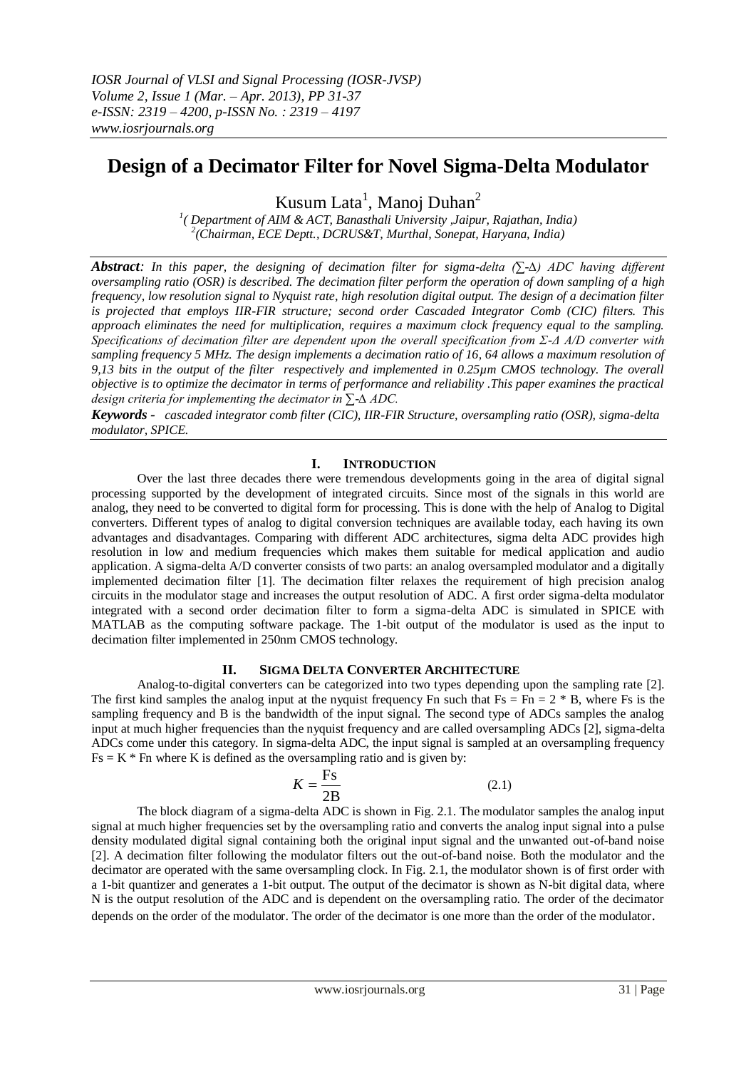# **Design of a Decimator Filter for Novel Sigma-Delta Modulator**

Kusum Lata<sup>1</sup>, Manoj Duhan<sup>2</sup>

*1 ( Department of AIM & ACT, Banasthali University ,Jaipur, Rajathan, India) 2 (Chairman, ECE Deptt., DCRUS&T, Murthal, Sonepat, Haryana, India)* 

*Abstract: In this paper, the designing of decimation filter for sigma-delta (∑-∆) ADC having different oversampling ratio (OSR) is described. The decimation filter perform the operation of down sampling of a high frequency, low resolution signal to Nyquist rate, high resolution digital output. The design of a decimation filter is projected that employs IIR-FIR structure; second order Cascaded Integrator Comb (CIC) filters. This approach eliminates the need for multiplication, requires a maximum clock frequency equal to the sampling. Specifications of decimation filter are dependent upon the overall specification from Σ-Δ A/D converter with sampling frequency 5 MHz. The design implements a decimation ratio of 16, 64 allows a maximum resolution of 9,13 bits in the output of the filter respectively and implemented in 0.25µm CMOS technology. The overall objective is to optimize the decimator in terms of performance and reliability .This paper examines the practical design criteria for implementing the decimator in ∑-∆ ADC.* 

*Keywords - cascaded integrator comb filter (CIC), IIR-FIR Structure, oversampling ratio (OSR), sigma-delta modulator, SPICE.*

## **I. INTRODUCTION**

Over the last three decades there were tremendous developments going in the area of digital signal processing supported by the development of integrated circuits. Since most of the signals in this world are analog, they need to be converted to digital form for processing. This is done with the help of Analog to Digital converters. Different types of analog to digital conversion techniques are available today, each having its own advantages and disadvantages. Comparing with different ADC architectures, sigma delta ADC provides high resolution in low and medium frequencies which makes them suitable for medical application and audio application. A sigma-delta A/D converter consists of two parts: an analog oversampled modulator and a digitally implemented decimation filter [1]. The decimation filter relaxes the requirement of high precision analog circuits in the modulator stage and increases the output resolution of ADC. A first order sigma-delta modulator integrated with a second order decimation filter to form a sigma-delta ADC is simulated in SPICE with MATLAB as the computing software package. The 1-bit output of the modulator is used as the input to decimation filter implemented in 250nm CMOS technology.

## **II. SIGMA DELTA CONVERTER ARCHITECTURE**

Analog-to-digital converters can be categorized into two types depending upon the sampling rate [2]. The first kind samples the analog input at the nyquist frequency Fn such that  $Fs = Fn = 2 * B$ , where Fs is the sampling frequency and B is the bandwidth of the input signal. The second type of ADCs samples the analog input at much higher frequencies than the nyquist frequency and are called oversampling ADCs [2], sigma-delta ADCs come under this category. In sigma-delta ADC, the input signal is sampled at an oversampling frequency  $Fs = K * Fn$  where K is defined as the oversampling ratio and is given by:

$$
K = \frac{\text{Fs}}{2\text{B}}\tag{2.1}
$$

The block diagram of a sigma-delta ADC is shown in Fig. 2.1. The modulator samples the analog input signal at much higher frequencies set by the oversampling ratio and converts the analog input signal into a pulse density modulated digital signal containing both the original input signal and the unwanted out-of-band noise [2]. A decimation filter following the modulator filters out the out-of-band noise. Both the modulator and the decimator are operated with the same oversampling clock. In Fig. 2.1, the modulator shown is of first order with a 1-bit quantizer and generates a 1-bit output. The output of the decimator is shown as N-bit digital data, where N is the output resolution of the ADC and is dependent on the oversampling ratio. The order of the decimator depends on the order of the modulator. The order of the decimator is one more than the order of the modulator.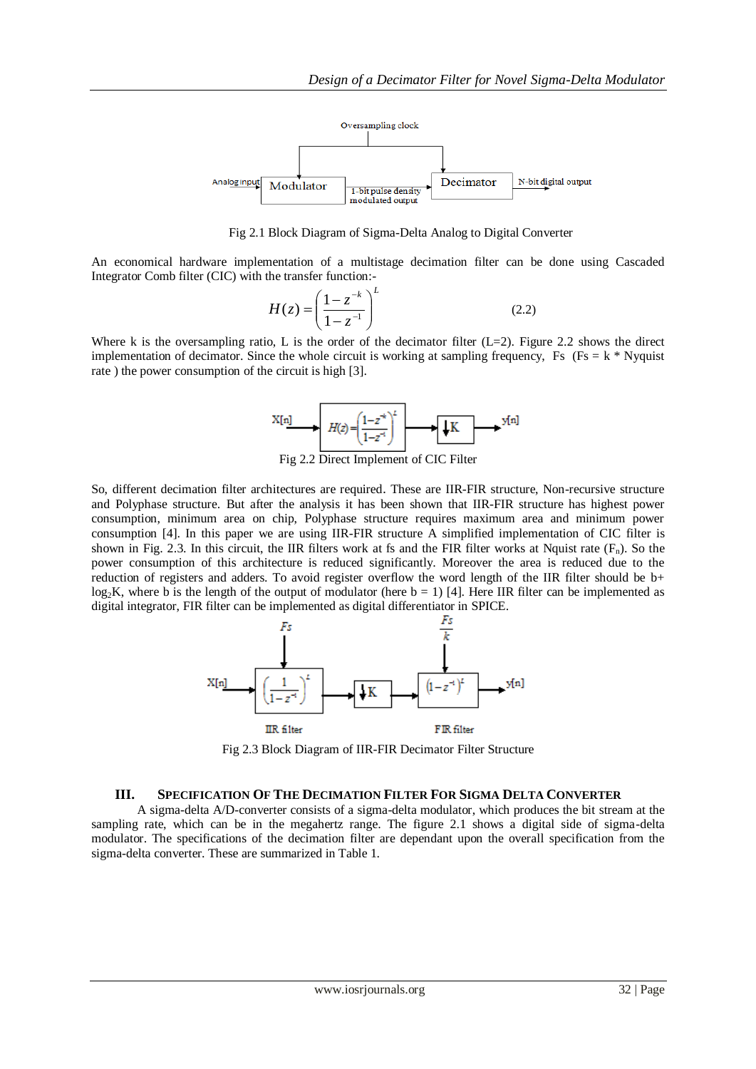

Fig 2.1 Block Diagram of Sigma-Delta Analog to Digital Converter

An economical hardware implementation of a multistage decimation filter can be done using Cascaded Integrator Comb filter (CIC) with the transfer function:-

$$
H(z) = \left(\frac{1 - z^{-k}}{1 - z^{-1}}\right)^L
$$
 (2.2)

Where k is the oversampling ratio, L is the order of the decimator filter  $(L=2)$ . Figure 2.2 shows the direct implementation of decimator. Since the whole circuit is working at sampling frequency, Fs (Fs = k  $*$  Nyquist rate ) the power consumption of the circuit is high [3].



Fig 2.2 Direct Implement of CIC Filter

So, different decimation filter architectures are required. These are IIR-FIR structure, Non-recursive structure and Polyphase structure. But after the analysis it has been shown that IIR-FIR structure has highest power consumption, minimum area on chip, Polyphase structure requires maximum area and minimum power consumption [4]. In this paper we are using IIR-FIR structure A simplified implementation of CIC filter is shown in Fig. 2.3. In this circuit, the IIR filters work at fs and the FIR filter works at Nquist rate  $(F_n)$ . So the power consumption of this architecture is reduced significantly. Moreover the area is reduced due to the reduction of registers and adders. To avoid register overflow the word length of the IIR filter should be b+ log<sub>2</sub>K, where b is the length of the output of modulator (here  $b = 1$ ) [4]. Here IIR filter can be implemented as digital integrator, FIR filter can be implemented as digital differentiator in SPICE.



Fig 2.3 Block Diagram of IIR-FIR Decimator Filter Structure

### **III. SPECIFICATION OF THE DECIMATION FILTER FOR SIGMA DELTA CONVERTER**

A sigma-delta A/D-converter consists of a sigma-delta modulator, which produces the bit stream at the sampling rate, which can be in the megahertz range. The figure 2.1 shows a digital side of sigma-delta modulator. The specifications of the decimation filter are dependant upon the overall specification from the sigma-delta converter. These are summarized in Table 1.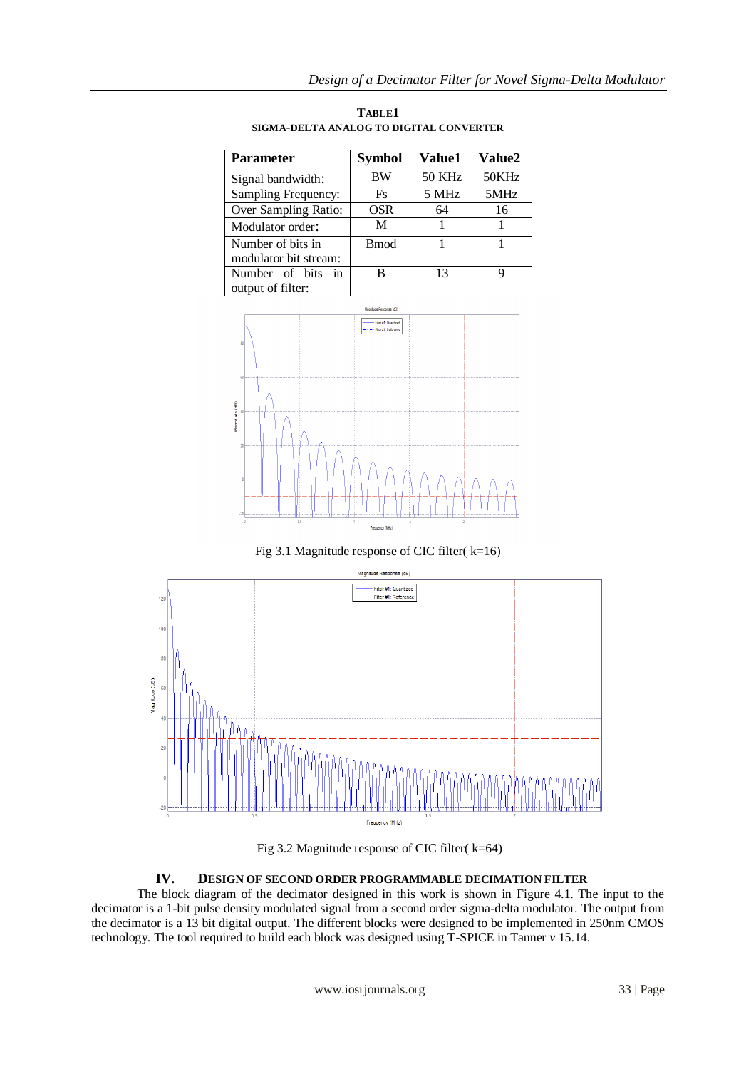| <b>Parameter</b>                           | <b>Symbol</b> | <b>Value1</b> | <b>Value2</b> |
|--------------------------------------------|---------------|---------------|---------------|
| Signal bandwidth:                          | BW            | <b>50 KHz</b> | 50KHz         |
| Sampling Frequency:                        | Fs            | 5 MHz         | 5MHz          |
| Over Sampling Ratio:                       | OSR           | 64            | 16            |
| Modulator order:                           | M             |               |               |
| Number of bits in<br>modulator bit stream: | <b>Bmod</b>   |               |               |
| Number of bits in<br>output of filter:     | в             | 13            |               |

**TABLE1 SIGMA-DELTA ANALOG TO DIGITAL CONVERTER**



Fig 3.1 Magnitude response of CIC filter( $k=16$ )



Fig 3.2 Magnitude response of CIC filter( k=64)

## **IV. DESIGN OF SECOND ORDER PROGRAMMABLE DECIMATION FILTER**

The block diagram of the decimator designed in this work is shown in Figure 4.1. The input to the decimator is a 1-bit pulse density modulated signal from a second order sigma-delta modulator. The output from the decimator is a 13 bit digital output. The different blocks were designed to be implemented in 250nm CMOS technology. The tool required to build each block was designed using T-SPICE in Tanner *v* 15.14.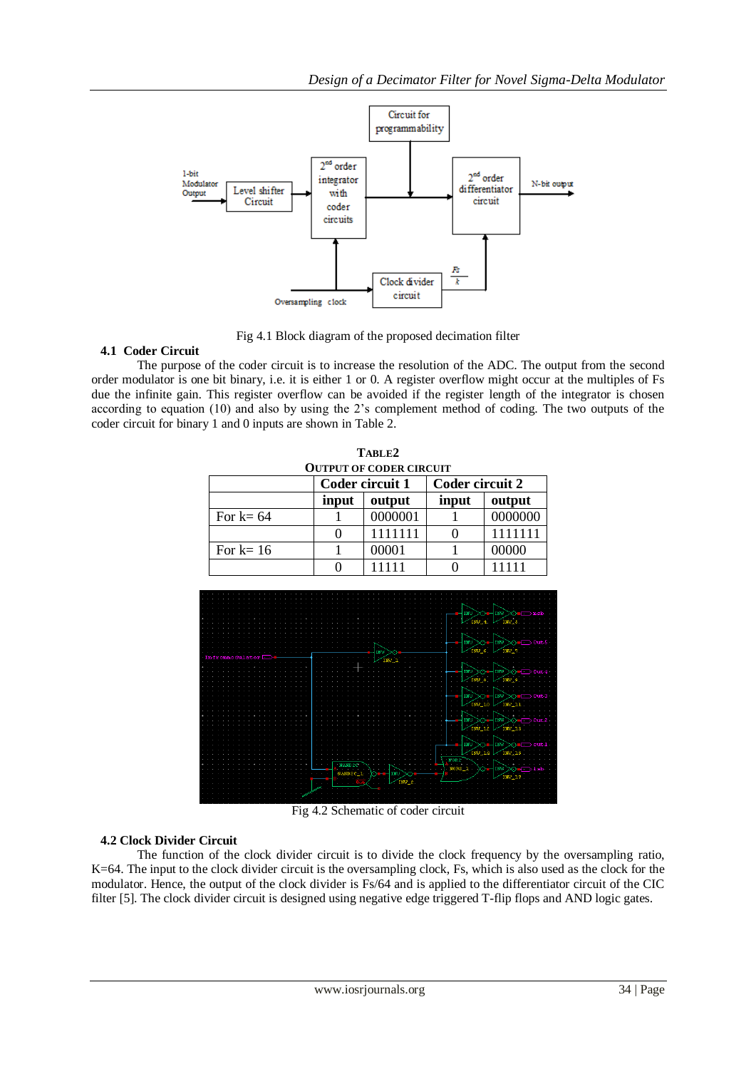

Fig 4.1 Block diagram of the proposed decimation filter

## **4.1 Coder Circuit**

The purpose of the coder circuit is to increase the resolution of the ADC. The output from the second order modulator is one bit binary, i.e. it is either 1 or 0. A register overflow might occur at the multiples of Fs due the infinite gain. This register overflow can be avoided if the register length of the integrator is chosen according to equation (10) and also by using the 2's complement method of coding. The two outputs of the coder circuit for binary 1 and 0 inputs are shown in Table 2.

| TABLE2                         |                 |         |                        |         |  |  |
|--------------------------------|-----------------|---------|------------------------|---------|--|--|
| <b>OUTPUT OF CODER CIRCUIT</b> |                 |         |                        |         |  |  |
|                                | Coder circuit 1 |         | <b>Coder circuit 2</b> |         |  |  |
|                                | input           | output  | input                  | output  |  |  |
| For $k=64$                     |                 | 0000001 |                        | 0000000 |  |  |
|                                |                 | 1111111 |                        |         |  |  |
| For $k=16$                     |                 | 00001   |                        | 00000   |  |  |
|                                |                 | 11111   |                        |         |  |  |



Fig 4.2 Schematic of coder circuit

## **4.2 Clock Divider Circuit**

The function of the clock divider circuit is to divide the clock frequency by the oversampling ratio, K=64. The input to the clock divider circuit is the oversampling clock, Fs, which is also used as the clock for the modulator. Hence, the output of the clock divider is Fs/64 and is applied to the differentiator circuit of the CIC filter [5]. The clock divider circuit is designed using negative edge triggered T-flip flops and AND logic gates.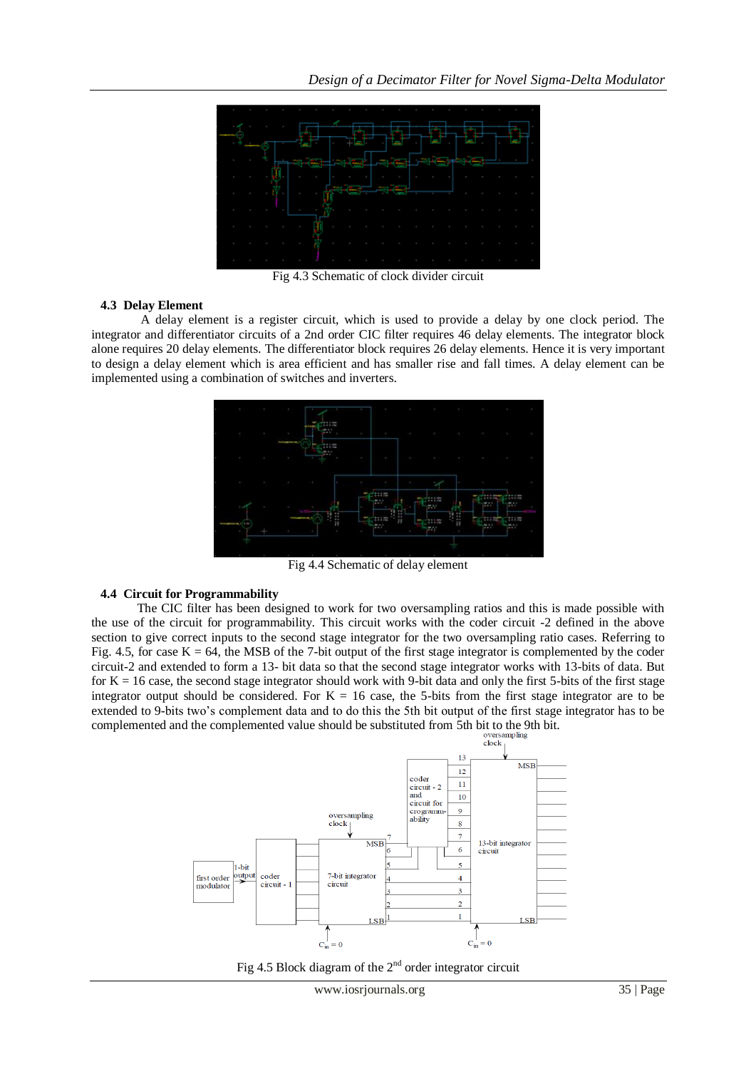

Fig 4.3 Schematic of clock divider circuit

### **4.3 Delay Element**

A delay element is a register circuit, which is used to provide a delay by one clock period. The integrator and differentiator circuits of a 2nd order CIC filter requires 46 delay elements. The integrator block alone requires 20 delay elements. The differentiator block requires 26 delay elements. Hence it is very important to design a delay element which is area efficient and has smaller rise and fall times. A delay element can be implemented using a combination of switches and inverters.



Fig 4.4 Schematic of delay element

### **4.4 Circuit for Programmability**

The CIC filter has been designed to work for two oversampling ratios and this is made possible with the use of the circuit for programmability. This circuit works with the coder circuit -2 defined in the above section to give correct inputs to the second stage integrator for the two oversampling ratio cases. Referring to Fig. 4.5, for case  $K = 64$ , the MSB of the 7-bit output of the first stage integrator is complemented by the coder circuit-2 and extended to form a 13- bit data so that the second stage integrator works with 13-bits of data. But for  $K = 16$  case, the second stage integrator should work with 9-bit data and only the first 5-bits of the first stage integrator output should be considered. For  $K = 16$  case, the 5-bits from the first stage integrator are to be extended to 9-bits two's complement data and to do this the 5th bit output of the first stage integrator has to be complemented and the complemented value should be substituted from 5th bit to the 9th bit.<br>  $\frac{\text{oversampling}}{\text{clock}_1}$ 



Fig 4.5 Block diagram of the  $2<sup>nd</sup>$  order integrator circuit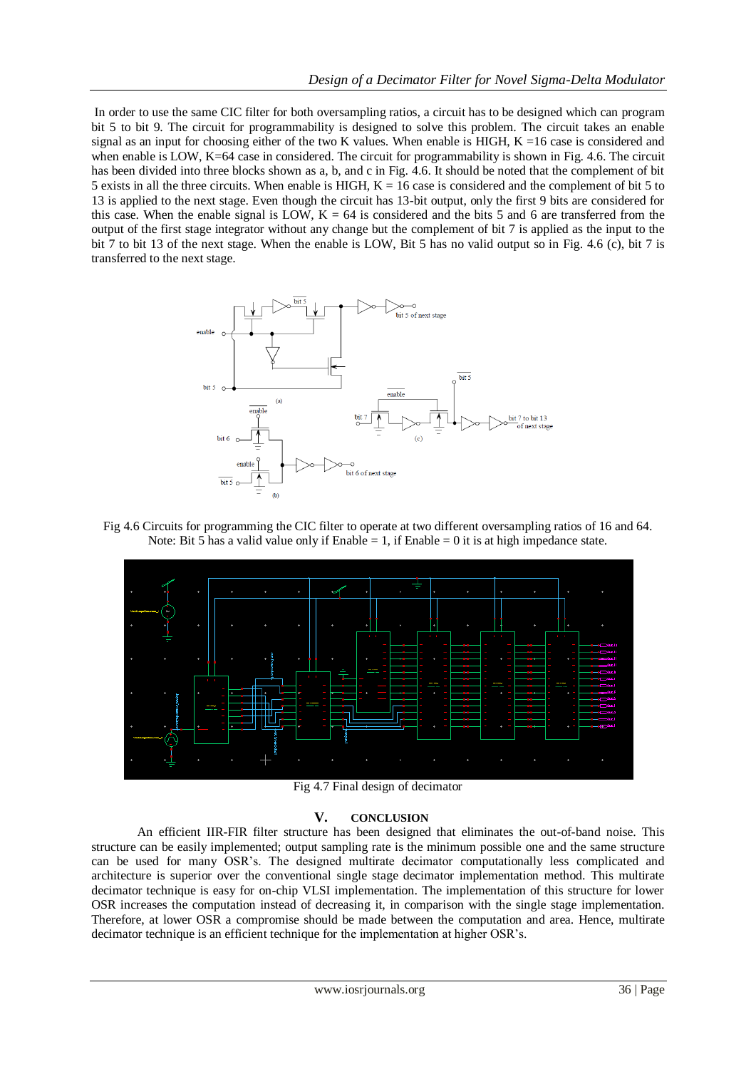In order to use the same CIC filter for both oversampling ratios, a circuit has to be designed which can program bit 5 to bit 9. The circuit for programmability is designed to solve this problem. The circuit takes an enable signal as an input for choosing either of the two K values. When enable is HIGH,  $K = 16$  case is considered and when enable is LOW, K=64 case in considered. The circuit for programmability is shown in Fig. 4.6. The circuit has been divided into three blocks shown as a, b, and c in Fig. 4.6. It should be noted that the complement of bit 5 exists in all the three circuits. When enable is HIGH,  $K = 16$  case is considered and the complement of bit 5 to 13 is applied to the next stage. Even though the circuit has 13-bit output, only the first 9 bits are considered for this case. When the enable signal is LOW,  $K = 64$  is considered and the bits 5 and 6 are transferred from the output of the first stage integrator without any change but the complement of bit 7 is applied as the input to the bit 7 to bit 13 of the next stage. When the enable is LOW, Bit 5 has no valid output so in Fig. 4.6 (c), bit 7 is transferred to the next stage.



Fig 4.6 Circuits for programming the CIC filter to operate at two different oversampling ratios of 16 and 64. Note: Bit 5 has a valid value only if Enable = 1, if Enable = 0 it is at high impedance state.



Fig 4.7 Final design of decimator

#### **V. CONCLUSION**

An efficient IIR-FIR filter structure has been designed that eliminates the out-of-band noise. This structure can be easily implemented; output sampling rate is the minimum possible one and the same structure can be used for many OSR's. The designed multirate decimator computationally less complicated and architecture is superior over the conventional single stage decimator implementation method. This multirate decimator technique is easy for on-chip VLSI implementation. The implementation of this structure for lower OSR increases the computation instead of decreasing it, in comparison with the single stage implementation. Therefore, at lower OSR a compromise should be made between the computation and area. Hence, multirate decimator technique is an efficient technique for the implementation at higher OSR's.